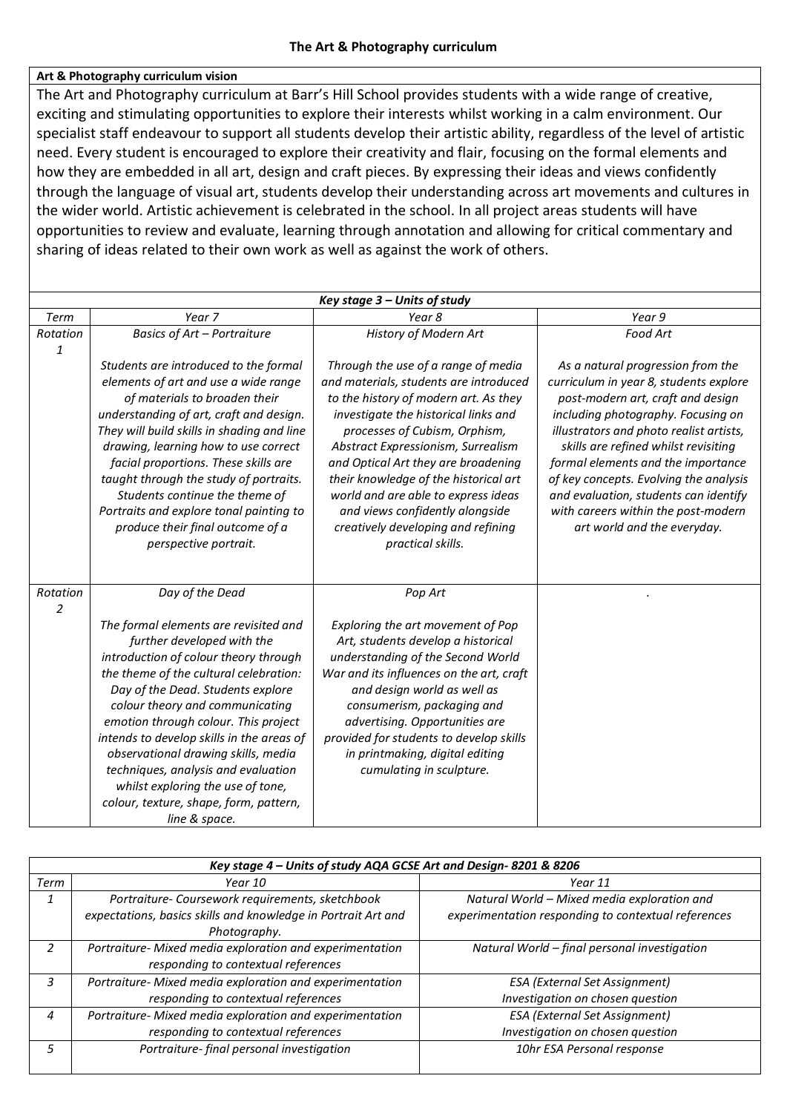## **Art & Photography curriculum vision**

The Art and Photography curriculum at Barr's Hill School provides students with a wide range of creative, exciting and stimulating opportunities to explore their interests whilst working in a calm environment. Our specialist staff endeavour to support all students develop their artistic ability, regardless of the level of artistic need. Every student is encouraged to explore their creativity and flair, focusing on the formal elements and how they are embedded in all art, design and craft pieces. By expressing their ideas and views confidently through the language of visual art, students develop their understanding across art movements and cultures in the wider world. Artistic achievement is celebrated in the school. In all project areas students will have opportunities to review and evaluate, learning through annotation and allowing for critical commentary and sharing of ideas related to their own work as well as against the work of others.

| Key stage 3 - Units of study |                                                                                                                                                                                                                                                                                                                                                                                                                                                                                                                      |                                                                                                                                                                                                                                                                                                                                                                                                                                                            |                                                                                                                                                                                                                                                                                                                                                                                                                                          |  |  |  |
|------------------------------|----------------------------------------------------------------------------------------------------------------------------------------------------------------------------------------------------------------------------------------------------------------------------------------------------------------------------------------------------------------------------------------------------------------------------------------------------------------------------------------------------------------------|------------------------------------------------------------------------------------------------------------------------------------------------------------------------------------------------------------------------------------------------------------------------------------------------------------------------------------------------------------------------------------------------------------------------------------------------------------|------------------------------------------------------------------------------------------------------------------------------------------------------------------------------------------------------------------------------------------------------------------------------------------------------------------------------------------------------------------------------------------------------------------------------------------|--|--|--|
| Term                         | Year 7                                                                                                                                                                                                                                                                                                                                                                                                                                                                                                               | Year 8                                                                                                                                                                                                                                                                                                                                                                                                                                                     | Year 9                                                                                                                                                                                                                                                                                                                                                                                                                                   |  |  |  |
| Rotation<br>$\mathbf{1}$     | <b>Basics of Art - Portraiture</b>                                                                                                                                                                                                                                                                                                                                                                                                                                                                                   | History of Modern Art                                                                                                                                                                                                                                                                                                                                                                                                                                      | Food Art                                                                                                                                                                                                                                                                                                                                                                                                                                 |  |  |  |
|                              | Students are introduced to the formal<br>elements of art and use a wide range<br>of materials to broaden their<br>understanding of art, craft and design.<br>They will build skills in shading and line<br>drawing, learning how to use correct<br>facial proportions. These skills are<br>taught through the study of portraits.<br>Students continue the theme of<br>Portraits and explore tonal painting to<br>produce their final outcome of a<br>perspective portrait.                                          | Through the use of a range of media<br>and materials, students are introduced<br>to the history of modern art. As they<br>investigate the historical links and<br>processes of Cubism, Orphism,<br>Abstract Expressionism, Surrealism<br>and Optical Art they are broadening<br>their knowledge of the historical art<br>world and are able to express ideas<br>and views confidently alongside<br>creatively developing and refining<br>practical skills. | As a natural progression from the<br>curriculum in year 8, students explore<br>post-modern art, craft and design<br>including photography. Focusing on<br>illustrators and photo realist artists,<br>skills are refined whilst revisiting<br>formal elements and the importance<br>of key concepts. Evolving the analysis<br>and evaluation, students can identify<br>with careers within the post-modern<br>art world and the everyday. |  |  |  |
| Rotation<br>$\overline{2}$   | Day of the Dead<br>The formal elements are revisited and<br>further developed with the<br>introduction of colour theory through<br>the theme of the cultural celebration:<br>Day of the Dead. Students explore<br>colour theory and communicating<br>emotion through colour. This project<br>intends to develop skills in the areas of<br>observational drawing skills, media<br>techniques, analysis and evaluation<br>whilst exploring the use of tone,<br>colour, texture, shape, form, pattern,<br>line & space. | Pop Art<br>Exploring the art movement of Pop<br>Art, students develop a historical<br>understanding of the Second World<br>War and its influences on the art, craft<br>and design world as well as<br>consumerism, packaging and<br>advertising. Opportunities are<br>provided for students to develop skills<br>in printmaking, digital editing<br>cumulating in sculpture.                                                                               |                                                                                                                                                                                                                                                                                                                                                                                                                                          |  |  |  |

| Key stage 4 - Units of study AQA GCSE Art and Design-8201 & 8206 |                                                               |                                                     |  |  |
|------------------------------------------------------------------|---------------------------------------------------------------|-----------------------------------------------------|--|--|
| Term                                                             | Year 10                                                       | Year 11                                             |  |  |
|                                                                  | Portraiture- Coursework requirements, sketchbook              | Natural World - Mixed media exploration and         |  |  |
|                                                                  | expectations, basics skills and knowledge in Portrait Art and | experimentation responding to contextual references |  |  |
|                                                                  | Photography.                                                  |                                                     |  |  |
| 2                                                                | Portraiture- Mixed media exploration and experimentation      | Natural World - final personal investigation        |  |  |
|                                                                  | responding to contextual references                           |                                                     |  |  |
| 3                                                                | Portraiture- Mixed media exploration and experimentation      | <b>ESA (External Set Assignment)</b>                |  |  |
|                                                                  | responding to contextual references                           | Investigation on chosen question                    |  |  |
| 4                                                                | Portraiture- Mixed media exploration and experimentation      | <b>ESA (External Set Assignment)</b>                |  |  |
|                                                                  | responding to contextual references                           | Investigation on chosen question                    |  |  |
| 5                                                                | Portraiture-final personal investigation                      | 10hr ESA Personal response                          |  |  |
|                                                                  |                                                               |                                                     |  |  |